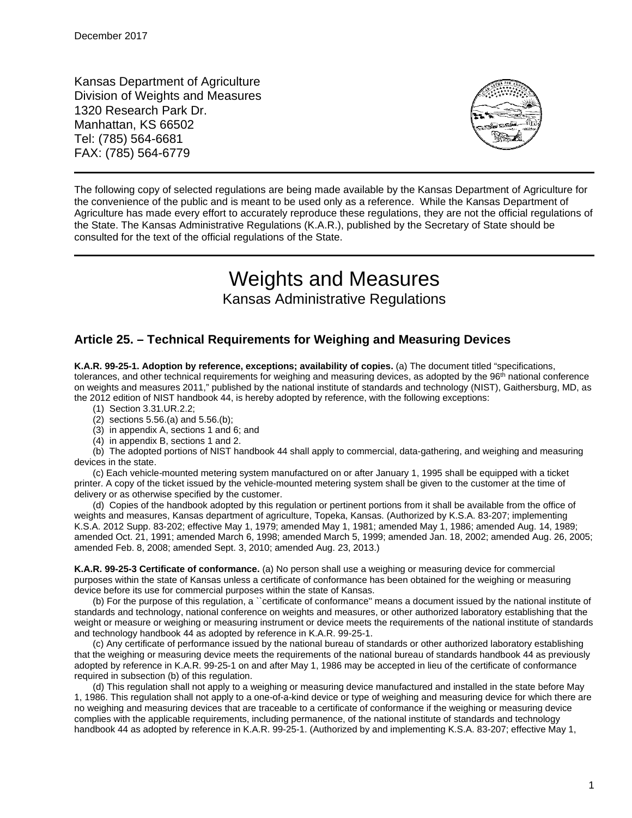Kansas Department of Agriculture Division of Weights and Measures 1320 Research Park Dr. Manhattan, KS 66502 Tel: (785) 564-6681 FAX: (785) 564-6779



The following copy of selected regulations are being made available by the Kansas Department of Agriculture for the convenience of the public and is meant to be used only as a reference. While the Kansas Department of Agriculture has made every effort to accurately reproduce these regulations, they are not the official regulations of the State. The Kansas Administrative Regulations (K.A.R.), published by the Secretary of State should be consulted for the text of the official regulations of the State.

# Weights and Measures

# Kansas Administrative Regulations

# **Article 25. – Technical Requirements for Weighing and Measuring Devices**

**K.A.R. 99-25-1. Adoption by reference, exceptions; availability of copies.** (a) The document titled "specifications, tolerances, and other technical requirements for weighing and measuring devices, as adopted by the  $96<sup>th</sup>$  national conference on weights and measures 2011," published by the national institute of standards and technology (NIST), Gaithersburg, MD, as the 2012 edition of NIST handbook 44, is hereby adopted by reference, with the following exceptions:

- (1) Section 3.31.UR.2.2;
- (2) sections 5.56.(a) and 5.56.(b);
- (3) in appendix A, sections 1 and 6; and
- (4) in appendix B, sections 1 and 2.

(b) The adopted portions of NIST handbook 44 shall apply to commercial, data-gathering, and weighing and measuring devices in the state.

(c) Each vehicle-mounted metering system manufactured on or after January 1, 1995 shall be equipped with a ticket printer. A copy of the ticket issued by the vehicle-mounted metering system shall be given to the customer at the time of delivery or as otherwise specified by the customer.

(d) Copies of the handbook adopted by this regulation or pertinent portions from it shall be available from the office of weights and measures, Kansas department of agriculture, Topeka, Kansas. (Authorized by K.S.A. 83-207; implementing K.S.A. 2012 Supp. 83-202; effective May 1, 1979; amended May 1, 1981; amended May 1, 1986; amended Aug. 14, 1989; amended Oct. 21, 1991; amended March 6, 1998; amended March 5, 1999; amended Jan. 18, 2002; amended Aug. 26, 2005; amended Feb. 8, 2008; amended Sept. 3, 2010; amended Aug. 23, 2013.)

**K.A.R. 99-25-3 Certificate of conformance.** (a) No person shall use a weighing or measuring device for commercial purposes within the state of Kansas unless a certificate of conformance has been obtained for the weighing or measuring device before its use for commercial purposes within the state of Kansas.

(b) For the purpose of this regulation, a ``certificate of conformance'' means a document issued by the national institute of standards and technology, national conference on weights and measures, or other authorized laboratory establishing that the weight or measure or weighing or measuring instrument or device meets the requirements of the national institute of standards and technology handbook 44 as adopted by reference in K.A.R. 99-25-1.

(c) Any certificate of performance issued by the national bureau of standards or other authorized laboratory establishing that the weighing or measuring device meets the requirements of the national bureau of standards handbook 44 as previously adopted by reference in K.A.R. 99-25-1 on and after May 1, 1986 may be accepted in lieu of the certificate of conformance required in subsection (b) of this regulation.

(d) This regulation shall not apply to a weighing or measuring device manufactured and installed in the state before May 1, 1986. This regulation shall not apply to a one-of-a-kind device or type of weighing and measuring device for which there are no weighing and measuring devices that are traceable to a certificate of conformance if the weighing or measuring device complies with the applicable requirements, including permanence, of the national institute of standards and technology handbook 44 as adopted by reference in K.A.R. 99-25-1. (Authorized by and implementing K.S.A. 83-207; effective May 1,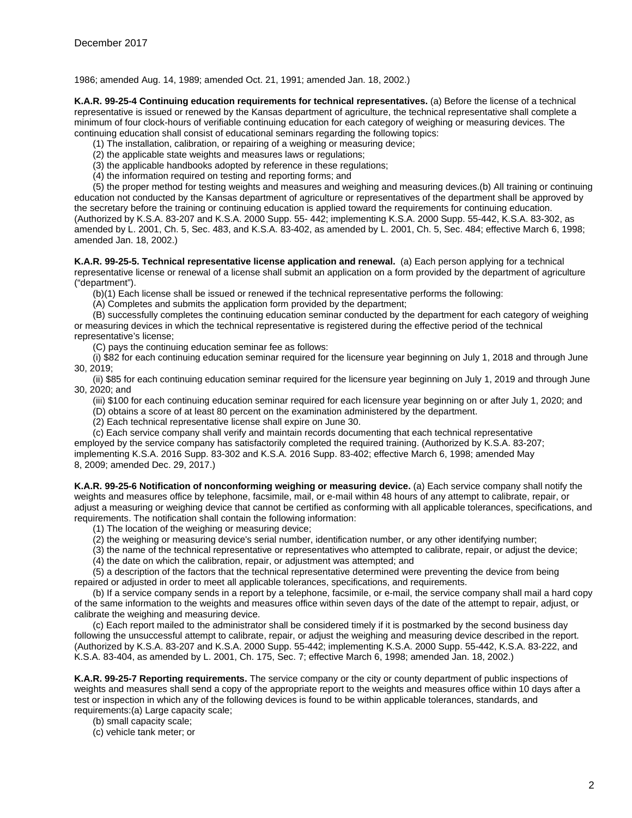1986; amended Aug. 14, 1989; amended Oct. 21, 1991; amended Jan. 18, 2002.)

**K.A.R. 99-25-4 Continuing education requirements for technical representatives.** (a) Before the license of a technical representative is issued or renewed by the Kansas department of agriculture, the technical representative shall complete a minimum of four clock-hours of verifiable continuing education for each category of weighing or measuring devices. The continuing education shall consist of educational seminars regarding the following topics:

- (1) The installation, calibration, or repairing of a weighing or measuring device;
- (2) the applicable state weights and measures laws or regulations;
- (3) the applicable handbooks adopted by reference in these regulations;
- (4) the information required on testing and reporting forms; and

(5) the proper method for testing weights and measures and weighing and measuring devices.(b) All training or continuing education not conducted by the Kansas department of agriculture or representatives of the department shall be approved by the secretary before the training or continuing education is applied toward the requirements for continuing education. (Authorized by K.S.A. 83-207 and K.S.A. 2000 Supp. 55- 442; implementing K.S.A. 2000 Supp. 55-442, K.S.A. 83-302, as amended by L. 2001, Ch. 5, Sec. 483, and K.S.A. 83-402, as amended by L. 2001, Ch. 5, Sec. 484; effective March 6, 1998; amended Jan. 18, 2002.)

**K.A.R. 99-25-5. Technical representative license application and renewal.** (a) Each person applying for a technical representative license or renewal of a license shall submit an application on a form provided by the department of agriculture ("department").

(b)(1) Each license shall be issued or renewed if the technical representative performs the following:

(A) Completes and submits the application form provided by the department;

(B) successfully completes the continuing education seminar conducted by the department for each category of weighing or measuring devices in which the technical representative is registered during the effective period of the technical representative's license;

(C) pays the continuing education seminar fee as follows:

(i) \$82 for each continuing education seminar required for the licensure year beginning on July 1, 2018 and through June 30, 2019;

(ii) \$85 for each continuing education seminar required for the licensure year beginning on July 1, 2019 and through June 30, 2020; and

(iii) \$100 for each continuing education seminar required for each licensure year beginning on or after July 1, 2020; and

(D) obtains a score of at least 80 percent on the examination administered by the department.

(2) Each technical representative license shall expire on June 30.

(c) Each service company shall verify and maintain records documenting that each technical representative

employed by the service company has satisfactorily completed the required training. (Authorized by K.S.A. 83-207; implementing K.S.A. 2016 Supp. 83-302 and K.S.A. 2016 Supp. 83-402; effective March 6, 1998; amended May 8, 2009; amended Dec. 29, 2017.)

**K.A.R. 99-25-6 Notification of nonconforming weighing or measuring device.** (a) Each service company shall notify the weights and measures office by telephone, facsimile, mail, or e-mail within 48 hours of any attempt to calibrate, repair, or adjust a measuring or weighing device that cannot be certified as conforming with all applicable tolerances, specifications, and requirements. The notification shall contain the following information:

- (1) The location of the weighing or measuring device;
- (2) the weighing or measuring device's serial number, identification number, or any other identifying number;
- (3) the name of the technical representative or representatives who attempted to calibrate, repair, or adjust the device;

(4) the date on which the calibration, repair, or adjustment was attempted; and

(5) a description of the factors that the technical representative determined were preventing the device from being repaired or adjusted in order to meet all applicable tolerances, specifications, and requirements.

(b) If a service company sends in a report by a telephone, facsimile, or e-mail, the service company shall mail a hard copy of the same information to the weights and measures office within seven days of the date of the attempt to repair, adjust, or calibrate the weighing and measuring device.

(c) Each report mailed to the administrator shall be considered timely if it is postmarked by the second business day following the unsuccessful attempt to calibrate, repair, or adjust the weighing and measuring device described in the report. (Authorized by K.S.A. 83-207 and K.S.A. 2000 Supp. 55-442; implementing K.S.A. 2000 Supp. 55-442, K.S.A. 83-222, and K.S.A. 83-404, as amended by L. 2001, Ch. 175, Sec. 7; effective March 6, 1998; amended Jan. 18, 2002.)

**K.A.R. 99-25-7 Reporting requirements.** The service company or the city or county department of public inspections of weights and measures shall send a copy of the appropriate report to the weights and measures office within 10 days after a test or inspection in which any of the following devices is found to be within applicable tolerances, standards, and requirements:(a) Large capacity scale;

(b) small capacity scale;

(c) vehicle tank meter; or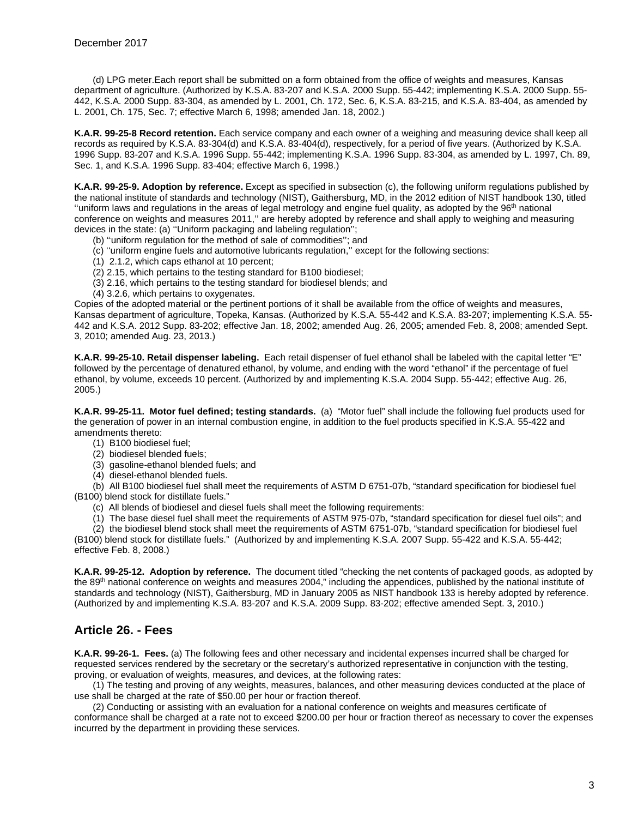(d) LPG meter.Each report shall be submitted on a form obtained from the office of weights and measures, Kansas department of agriculture. (Authorized by K.S.A. 83-207 and K.S.A. 2000 Supp. 55-442; implementing K.S.A. 2000 Supp. 55- 442, K.S.A. 2000 Supp. 83-304, as amended by L. 2001, Ch. 172, Sec. 6, K.S.A. 83-215, and K.S.A. 83-404, as amended by L. 2001, Ch. 175, Sec. 7; effective March 6, 1998; amended Jan. 18, 2002.)

**K.A.R. 99-25-8 Record retention.** Each service company and each owner of a weighing and measuring device shall keep all records as required by K.S.A. 83-304(d) and K.S.A. 83-404(d), respectively, for a period of five years. (Authorized by K.S.A. 1996 Supp. 83-207 and K.S.A. 1996 Supp. 55-442; implementing K.S.A. 1996 Supp. 83-304, as amended by L. 1997, Ch. 89, Sec. 1, and K.S.A. 1996 Supp. 83-404; effective March 6, 1998.)

**K.A.R. 99-25-9. Adoption by reference.** Except as specified in subsection (c), the following uniform regulations published by the national institute of standards and technology (NIST), Gaithersburg, MD, in the 2012 edition of NIST handbook 130, titled ''uniform laws and regulations in the areas of legal metrology and engine fuel quality, as adopted by the 96th national conference on weights and measures 2011,'' are hereby adopted by reference and shall apply to weighing and measuring devices in the state: (a) ''Uniform packaging and labeling regulation'';

- (b) ''uniform regulation for the method of sale of commodities''; and
- (c) ''uniform engine fuels and automotive lubricants regulation,'' except for the following sections:
- (1) 2.1.2, which caps ethanol at 10 percent;
- (2) 2.15, which pertains to the testing standard for B100 biodiesel;
- (3) 2.16, which pertains to the testing standard for biodiesel blends; and
- (4) 3.2.6, which pertains to oxygenates.

Copies of the adopted material or the pertinent portions of it shall be available from the office of weights and measures, Kansas department of agriculture, Topeka, Kansas. (Authorized by K.S.A. 55-442 and K.S.A. 83-207; implementing K.S.A. 55- 442 and K.S.A. 2012 Supp. 83-202; effective Jan. 18, 2002; amended Aug. 26, 2005; amended Feb. 8, 2008; amended Sept. 3, 2010; amended Aug. 23, 2013.)

**K.A.R. 99-25-10. Retail dispenser labeling.** Each retail dispenser of fuel ethanol shall be labeled with the capital letter "E" followed by the percentage of denatured ethanol, by volume, and ending with the word "ethanol" if the percentage of fuel ethanol, by volume, exceeds 10 percent. (Authorized by and implementing K.S.A. 2004 Supp. 55-442; effective Aug. 26, 2005.)

**K.A.R. 99-25-11. Motor fuel defined; testing standards.** (a) "Motor fuel" shall include the following fuel products used for the generation of power in an internal combustion engine, in addition to the fuel products specified in K.S.A. 55-422 and amendments thereto:

- (1) B100 biodiesel fuel;
- (2) biodiesel blended fuels;
- (3) gasoline-ethanol blended fuels; and
- (4) diesel-ethanol blended fuels.

(b) All B100 biodiesel fuel shall meet the requirements of ASTM D 6751-07b, "standard specification for biodiesel fuel (B100) blend stock for distillate fuels."

(c) All blends of biodiesel and diesel fuels shall meet the following requirements:

(1) The base diesel fuel shall meet the requirements of ASTM 975-07b, "standard specification for diesel fuel oils"; and

(2) the biodiesel blend stock shall meet the requirements of ASTM 6751-07b, "standard specification for biodiesel fuel (B100) blend stock for distillate fuels." (Authorized by and implementing K.S.A. 2007 Supp. 55-422 and K.S.A. 55-442; effective Feb. 8, 2008.)

**K.A.R. 99-25-12. Adoption by reference.** The document titled "checking the net contents of packaged goods, as adopted by the 89<sup>th</sup> national conference on weights and measures 2004," including the appendices, published by the national institute of standards and technology (NIST), Gaithersburg, MD in January 2005 as NIST handbook 133 is hereby adopted by reference. (Authorized by and implementing K.S.A. 83-207 and K.S.A. 2009 Supp. 83-202; effective amended Sept. 3, 2010.)

### **Article 26. - Fees**

**K.A.R. 99-26-1. Fees.** (a) The following fees and other necessary and incidental expenses incurred shall be charged for requested services rendered by the secretary or the secretary's authorized representative in conjunction with the testing, proving, or evaluation of weights, measures, and devices, at the following rates:

(1) The testing and proving of any weights, measures, balances, and other measuring devices conducted at the place of use shall be charged at the rate of \$50.00 per hour or fraction thereof.

(2) Conducting or assisting with an evaluation for a national conference on weights and measures certificate of conformance shall be charged at a rate not to exceed \$200.00 per hour or fraction thereof as necessary to cover the expenses incurred by the department in providing these services.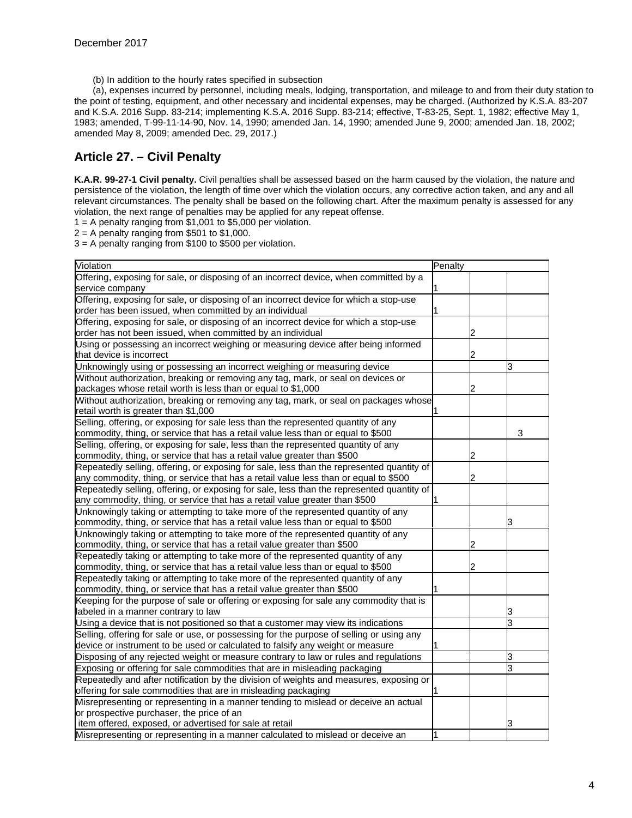(b) In addition to the hourly rates specified in subsection

(a), expenses incurred by personnel, including meals, lodging, transportation, and mileage to and from their duty station to the point of testing, equipment, and other necessary and incidental expenses, may be charged. (Authorized by K.S.A. 83-207 and K.S.A. 2016 Supp. 83-214; implementing K.S.A. 2016 Supp. 83-214; effective, T-83-25, Sept. 1, 1982; effective May 1, 1983; amended, T-99-11-14-90, Nov. 14, 1990; amended Jan. 14, 1990; amended June 9, 2000; amended Jan. 18, 2002; amended May 8, 2009; amended Dec. 29, 2017.)

### **Article 27. – Civil Penalty**

**K.A.R. 99-27-1 Civil penalty.** Civil penalties shall be assessed based on the harm caused by the violation, the nature and persistence of the violation, the length of time over which the violation occurs, any corrective action taken, and any and all relevant circumstances. The penalty shall be based on the following chart. After the maximum penalty is assessed for any violation, the next range of penalties may be applied for any repeat offense.

 $1 = A$  penalty ranging from \$1,001 to \$5,000 per violation.

 $2 = A$  penalty ranging from \$501 to \$1,000.

3 = A penalty ranging from \$100 to \$500 per violation.

| Violation                                                                                 | Penalty |   |
|-------------------------------------------------------------------------------------------|---------|---|
| Offering, exposing for sale, or disposing of an incorrect device, when committed by a     |         |   |
| service company                                                                           |         |   |
| Offering, exposing for sale, or disposing of an incorrect device for which a stop-use     |         |   |
| order has been issued, when committed by an individual                                    |         |   |
| Offering, exposing for sale, or disposing of an incorrect device for which a stop-use     |         |   |
| order has not been issued, when committed by an individual                                |         |   |
| Using or possessing an incorrect weighing or measuring device after being informed        |         |   |
| that device is incorrect                                                                  |         |   |
| Unknowingly using or possessing an incorrect weighing or measuring device                 |         | 3 |
| Without authorization, breaking or removing any tag, mark, or seal on devices or          |         |   |
| packages whose retail worth is less than or equal to \$1,000                              |         |   |
| Without authorization, breaking or removing any tag, mark, or seal on packages whose      |         |   |
| retail worth is greater than \$1,000                                                      |         |   |
| Selling, offering, or exposing for sale less than the represented quantity of any         |         |   |
| commodity, thing, or service that has a retail value less than or equal to \$500          |         | 3 |
| Selling, offering, or exposing for sale, less than the represented quantity of any        |         |   |
| commodity, thing, or service that has a retail value greater than \$500                   |         |   |
| Repeatedly selling, offering, or exposing for sale, less than the represented quantity of |         |   |
| any commodity, thing, or service that has a retail value less than or equal to \$500      |         |   |
| Repeatedly selling, offering, or exposing for sale, less than the represented quantity of |         |   |
| any commodity, thing, or service that has a retail value greater than \$500               |         |   |
| Unknowingly taking or attempting to take more of the represented quantity of any          |         |   |
| commodity, thing, or service that has a retail value less than or equal to \$500          |         |   |
| Unknowingly taking or attempting to take more of the represented quantity of any          |         |   |
| commodity, thing, or service that has a retail value greater than \$500                   |         |   |
| Repeatedly taking or attempting to take more of the represented quantity of any           |         |   |
| commodity, thing, or service that has a retail value less than or equal to \$500          |         |   |
| Repeatedly taking or attempting to take more of the represented quantity of any           |         |   |
| commodity, thing, or service that has a retail value greater than \$500                   |         |   |
| Keeping for the purpose of sale or offering or exposing for sale any commodity that is    |         |   |
| labeled in a manner contrary to law                                                       |         |   |
| Using a device that is not positioned so that a customer may view its indications         |         | 3 |
| Selling, offering for sale or use, or possessing for the purpose of selling or using any  |         |   |
| device or instrument to be used or calculated to falsify any weight or measure            |         |   |
| Disposing of any rejected weight or measure contrary to law or rules and regulations      |         | з |
| Exposing or offering for sale commodities that are in misleading packaging                |         | 3 |
| Repeatedly and after notification by the division of weights and measures, exposing or    |         |   |
| offering for sale commodities that are in misleading packaging                            |         |   |
| Misrepresenting or representing in a manner tending to mislead or deceive an actual       |         |   |
| or prospective purchaser, the price of an                                                 |         |   |
| item offered, exposed, or advertised for sale at retail                                   |         | 3 |
| Misrepresenting or representing in a manner calculated to mislead or deceive an           |         |   |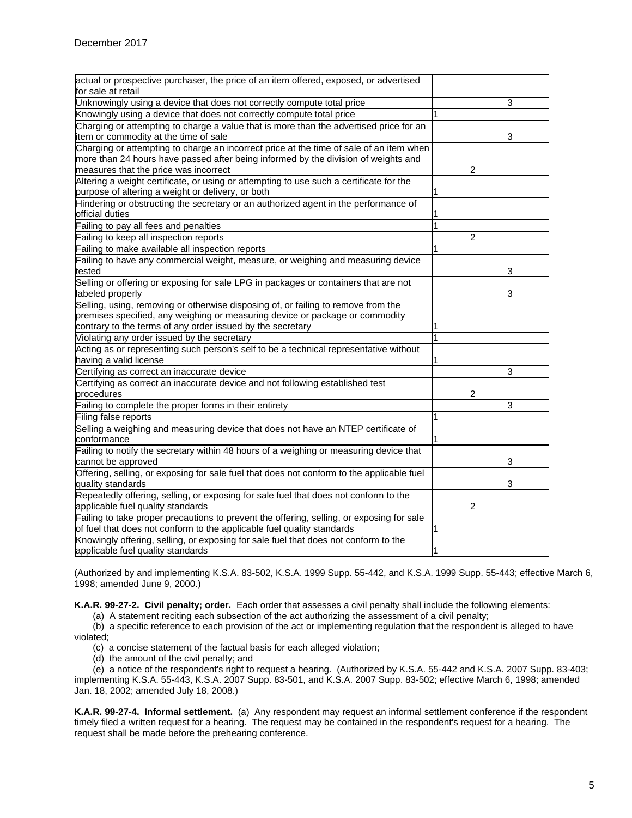| actual or prospective purchaser, the price of an item offered, exposed, or advertised<br>for sale at retail |  |    |
|-------------------------------------------------------------------------------------------------------------|--|----|
| Unknowingly using a device that does not correctly compute total price                                      |  | 3  |
| Knowingly using a device that does not correctly compute total price                                        |  |    |
| Charging or attempting to charge a value that is more than the advertised price for an                      |  |    |
| item or commodity at the time of sale                                                                       |  |    |
| Charging or attempting to charge an incorrect price at the time of sale of an item when                     |  |    |
| more than 24 hours have passed after being informed by the division of weights and                          |  |    |
| measures that the price was incorrect                                                                       |  |    |
| Altering a weight certificate, or using or attempting to use such a certificate for the                     |  |    |
| purpose of altering a weight or delivery, or both                                                           |  |    |
| Hindering or obstructing the secretary or an authorized agent in the performance of                         |  |    |
| official duties                                                                                             |  |    |
| Failing to pay all fees and penalties                                                                       |  |    |
| Failing to keep all inspection reports                                                                      |  |    |
| Failing to make available all inspection reports                                                            |  |    |
| Failing to have any commercial weight, measure, or weighing and measuring device                            |  |    |
| tested                                                                                                      |  |    |
| Selling or offering or exposing for sale LPG in packages or containers that are not                         |  |    |
| labeled properly                                                                                            |  |    |
| Selling, using, removing or otherwise disposing of, or failing to remove from the                           |  |    |
| premises specified, any weighing or measuring device or package or commodity                                |  |    |
| contrary to the terms of any order issued by the secretary                                                  |  |    |
| Violating any order issued by the secretary                                                                 |  |    |
| Acting as or representing such person's self to be a technical representative without                       |  |    |
| having a valid license                                                                                      |  |    |
| Certifying as correct an inaccurate device                                                                  |  | ß. |
| Certifying as correct an inaccurate device and not following established test                               |  |    |
| procedures                                                                                                  |  |    |
| Failing to complete the proper forms in their entirety                                                      |  | ß. |
| Filing false reports                                                                                        |  |    |
| Selling a weighing and measuring device that does not have an NTEP certificate of                           |  |    |
| conformance                                                                                                 |  |    |
| Failing to notify the secretary within 48 hours of a weighing or measuring device that                      |  |    |
| cannot be approved                                                                                          |  | 13 |
| Offering, selling, or exposing for sale fuel that does not conform to the applicable fuel                   |  |    |
| quality standards                                                                                           |  |    |
| Repeatedly offering, selling, or exposing for sale fuel that does not conform to the                        |  |    |
| applicable fuel quality standards                                                                           |  |    |
| Failing to take proper precautions to prevent the offering, selling, or exposing for sale                   |  |    |
| of fuel that does not conform to the applicable fuel quality standards                                      |  |    |
| Knowingly offering, selling, or exposing for sale fuel that does not conform to the                         |  |    |
| applicable fuel quality standards                                                                           |  |    |

(Authorized by and implementing K.S.A. 83-502, K.S.A. 1999 Supp. 55-442, and K.S.A. 1999 Supp. 55-443; effective March 6, 1998; amended June 9, 2000.)

**K.A.R. 99-27-2. Civil penalty; order.** Each order that assesses a civil penalty shall include the following elements:

(a) A statement reciting each subsection of the act authorizing the assessment of a civil penalty;

(b) a specific reference to each provision of the act or implementing regulation that the respondent is alleged to have violated;

(c) a concise statement of the factual basis for each alleged violation;

(d) the amount of the civil penalty; and

(e) a notice of the respondent's right to request a hearing. (Authorized by K.S.A. 55-442 and K.S.A. 2007 Supp. 83-403; implementing K.S.A. 55-443, K.S.A. 2007 Supp. 83-501, and K.S.A. 2007 Supp. 83-502; effective March 6, 1998; amended Jan. 18, 2002; amended July 18, 2008.)

**K.A.R. 99-27-4. Informal settlement.** (a) Any respondent may request an informal settlement conference if the respondent timely filed a written request for a hearing. The request may be contained in the respondent's request for a hearing. The request shall be made before the prehearing conference.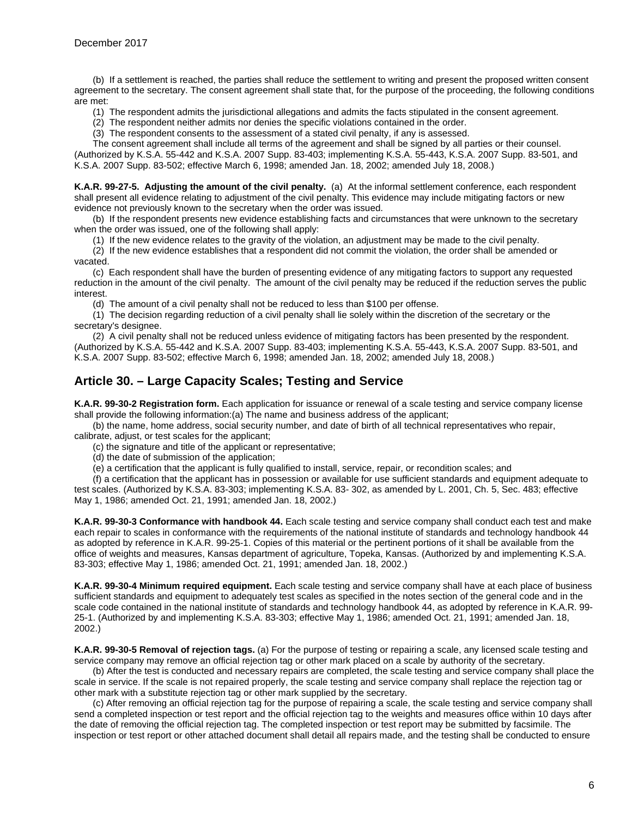(b) If a settlement is reached, the parties shall reduce the settlement to writing and present the proposed written consent agreement to the secretary. The consent agreement shall state that, for the purpose of the proceeding, the following conditions are met:

(1) The respondent admits the jurisdictional allegations and admits the facts stipulated in the consent agreement.

(2) The respondent neither admits nor denies the specific violations contained in the order.

(3) The respondent consents to the assessment of a stated civil penalty, if any is assessed.

The consent agreement shall include all terms of the agreement and shall be signed by all parties or their counsel. (Authorized by K.S.A. 55-442 and K.S.A. 2007 Supp. 83-403; implementing K.S.A. 55-443, K.S.A. 2007 Supp. 83-501, and K.S.A. 2007 Supp. 83-502; effective March 6, 1998; amended Jan. 18, 2002; amended July 18, 2008.)

**K.A.R. 99-27-5. Adjusting the amount of the civil penalty.** (a) At the informal settlement conference, each respondent shall present all evidence relating to adjustment of the civil penalty. This evidence may include mitigating factors or new evidence not previously known to the secretary when the order was issued.

(b) If the respondent presents new evidence establishing facts and circumstances that were unknown to the secretary when the order was issued, one of the following shall apply:

(1) If the new evidence relates to the gravity of the violation, an adjustment may be made to the civil penalty.

(2) If the new evidence establishes that a respondent did not commit the violation, the order shall be amended or vacated.

(c) Each respondent shall have the burden of presenting evidence of any mitigating factors to support any requested reduction in the amount of the civil penalty. The amount of the civil penalty may be reduced if the reduction serves the public interest.

(d) The amount of a civil penalty shall not be reduced to less than \$100 per offense.

(1) The decision regarding reduction of a civil penalty shall lie solely within the discretion of the secretary or the secretary's designee.

(2) A civil penalty shall not be reduced unless evidence of mitigating factors has been presented by the respondent. (Authorized by K.S.A. 55-442 and K.S.A. 2007 Supp. 83-403; implementing K.S.A. 55-443, K.S.A. 2007 Supp. 83-501, and K.S.A. 2007 Supp. 83-502; effective March 6, 1998; amended Jan. 18, 2002; amended July 18, 2008.)

# **Article 30. – Large Capacity Scales; Testing and Service**

**K.A.R. 99-30-2 Registration form.** Each application for issuance or renewal of a scale testing and service company license shall provide the following information:(a) The name and business address of the applicant;

(b) the name, home address, social security number, and date of birth of all technical representatives who repair, calibrate, adjust, or test scales for the applicant;

(c) the signature and title of the applicant or representative;

(d) the date of submission of the application;

(e) a certification that the applicant is fully qualified to install, service, repair, or recondition scales; and

(f) a certification that the applicant has in possession or available for use sufficient standards and equipment adequate to test scales. (Authorized by K.S.A. 83-303; implementing K.S.A. 83- 302, as amended by L. 2001, Ch. 5, Sec. 483; effective May 1, 1986; amended Oct. 21, 1991; amended Jan. 18, 2002.)

**K.A.R. 99-30-3 Conformance with handbook 44.** Each scale testing and service company shall conduct each test and make each repair to scales in conformance with the requirements of the national institute of standards and technology handbook 44 as adopted by reference in K.A.R. 99-25-1. Copies of this material or the pertinent portions of it shall be available from the office of weights and measures, Kansas department of agriculture, Topeka, Kansas. (Authorized by and implementing K.S.A. 83-303; effective May 1, 1986; amended Oct. 21, 1991; amended Jan. 18, 2002.)

**K.A.R. 99-30-4 Minimum required equipment.** Each scale testing and service company shall have at each place of business sufficient standards and equipment to adequately test scales as specified in the notes section of the general code and in the scale code contained in the national institute of standards and technology handbook 44, as adopted by reference in K.A.R. 99- 25-1. (Authorized by and implementing K.S.A. 83-303; effective May 1, 1986; amended Oct. 21, 1991; amended Jan. 18, 2002.)

**K.A.R. 99-30-5 Removal of rejection tags.** (a) For the purpose of testing or repairing a scale, any licensed scale testing and service company may remove an official rejection tag or other mark placed on a scale by authority of the secretary.

(b) After the test is conducted and necessary repairs are completed, the scale testing and service company shall place the scale in service. If the scale is not repaired properly, the scale testing and service company shall replace the rejection tag or other mark with a substitute rejection tag or other mark supplied by the secretary.

(c) After removing an official rejection tag for the purpose of repairing a scale, the scale testing and service company shall send a completed inspection or test report and the official rejection tag to the weights and measures office within 10 days after the date of removing the official rejection tag. The completed inspection or test report may be submitted by facsimile. The inspection or test report or other attached document shall detail all repairs made, and the testing shall be conducted to ensure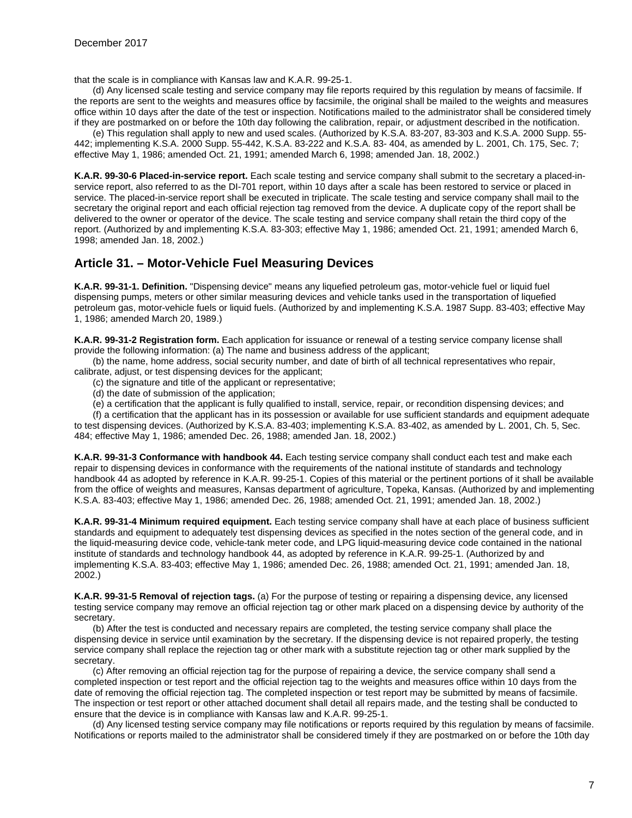that the scale is in compliance with Kansas law and K.A.R. 99-25-1.

(d) Any licensed scale testing and service company may file reports required by this regulation by means of facsimile. If the reports are sent to the weights and measures office by facsimile, the original shall be mailed to the weights and measures office within 10 days after the date of the test or inspection. Notifications mailed to the administrator shall be considered timely if they are postmarked on or before the 10th day following the calibration, repair, or adjustment described in the notification.

(e) This regulation shall apply to new and used scales. (Authorized by K.S.A. 83-207, 83-303 and K.S.A. 2000 Supp. 55- 442; implementing K.S.A. 2000 Supp. 55-442, K.S.A. 83-222 and K.S.A. 83- 404, as amended by L. 2001, Ch. 175, Sec. 7; effective May 1, 1986; amended Oct. 21, 1991; amended March 6, 1998; amended Jan. 18, 2002.)

**K.A.R. 99-30-6 Placed-in-service report.** Each scale testing and service company shall submit to the secretary a placed-inservice report, also referred to as the DI-701 report, within 10 days after a scale has been restored to service or placed in service. The placed-in-service report shall be executed in triplicate. The scale testing and service company shall mail to the secretary the original report and each official rejection tag removed from the device. A duplicate copy of the report shall be delivered to the owner or operator of the device. The scale testing and service company shall retain the third copy of the report. (Authorized by and implementing K.S.A. 83-303; effective May 1, 1986; amended Oct. 21, 1991; amended March 6, 1998; amended Jan. 18, 2002.)

#### **Article 31. – Motor-Vehicle Fuel Measuring Devices**

**K.A.R. 99-31-1. Definition.** "Dispensing device" means any liquefied petroleum gas, motor-vehicle fuel or liquid fuel dispensing pumps, meters or other similar measuring devices and vehicle tanks used in the transportation of liquefied petroleum gas, motor-vehicle fuels or liquid fuels. (Authorized by and implementing K.S.A. 1987 Supp. 83-403; effective May 1, 1986; amended March 20, 1989.)

**K.A.R. 99-31-2 Registration form.** Each application for issuance or renewal of a testing service company license shall provide the following information: (a) The name and business address of the applicant;

(b) the name, home address, social security number, and date of birth of all technical representatives who repair, calibrate, adjust, or test dispensing devices for the applicant;

(c) the signature and title of the applicant or representative;

- (d) the date of submission of the application;
- (e) a certification that the applicant is fully qualified to install, service, repair, or recondition dispensing devices; and

(f) a certification that the applicant has in its possession or available for use sufficient standards and equipment adequate to test dispensing devices. (Authorized by K.S.A. 83-403; implementing K.S.A. 83-402, as amended by L. 2001, Ch. 5, Sec. 484; effective May 1, 1986; amended Dec. 26, 1988; amended Jan. 18, 2002.)

**K.A.R. 99-31-3 Conformance with handbook 44.** Each testing service company shall conduct each test and make each repair to dispensing devices in conformance with the requirements of the national institute of standards and technology handbook 44 as adopted by reference in K.A.R. 99-25-1. Copies of this material or the pertinent portions of it shall be available from the office of weights and measures, Kansas department of agriculture, Topeka, Kansas. (Authorized by and implementing K.S.A. 83-403; effective May 1, 1986; amended Dec. 26, 1988; amended Oct. 21, 1991; amended Jan. 18, 2002.)

**K.A.R. 99-31-4 Minimum required equipment.** Each testing service company shall have at each place of business sufficient standards and equipment to adequately test dispensing devices as specified in the notes section of the general code, and in the liquid-measuring device code, vehicle-tank meter code, and LPG liquid-measuring device code contained in the national institute of standards and technology handbook 44, as adopted by reference in K.A.R. 99-25-1. (Authorized by and implementing K.S.A. 83-403; effective May 1, 1986; amended Dec. 26, 1988; amended Oct. 21, 1991; amended Jan. 18, 2002.)

**K.A.R. 99-31-5 Removal of rejection tags.** (a) For the purpose of testing or repairing a dispensing device, any licensed testing service company may remove an official rejection tag or other mark placed on a dispensing device by authority of the secretary.

(b) After the test is conducted and necessary repairs are completed, the testing service company shall place the dispensing device in service until examination by the secretary. If the dispensing device is not repaired properly, the testing service company shall replace the rejection tag or other mark with a substitute rejection tag or other mark supplied by the secretary.

(c) After removing an official rejection tag for the purpose of repairing a device, the service company shall send a completed inspection or test report and the official rejection tag to the weights and measures office within 10 days from the date of removing the official rejection tag. The completed inspection or test report may be submitted by means of facsimile. The inspection or test report or other attached document shall detail all repairs made, and the testing shall be conducted to ensure that the device is in compliance with Kansas law and K.A.R. 99-25-1.

(d) Any licensed testing service company may file notifications or reports required by this regulation by means of facsimile. Notifications or reports mailed to the administrator shall be considered timely if they are postmarked on or before the 10th day